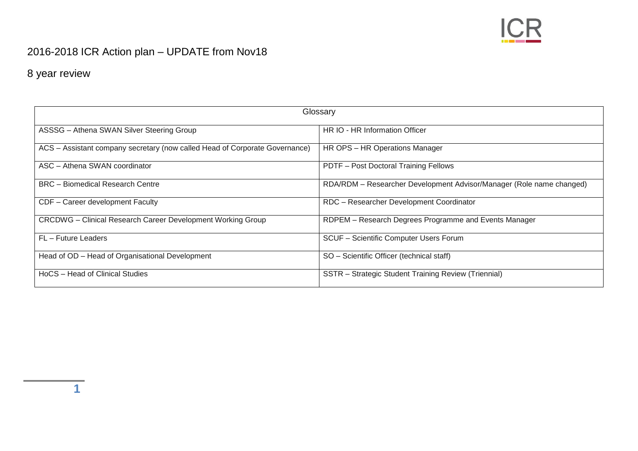

## 2016-2018 ICR Action plan – UPDATE from Nov18

8 year review

**1**

| Glossary                                                                    |                                                                      |  |  |
|-----------------------------------------------------------------------------|----------------------------------------------------------------------|--|--|
| ASSSG - Athena SWAN Silver Steering Group                                   | HR IO - HR Information Officer                                       |  |  |
| ACS - Assistant company secretary (now called Head of Corporate Governance) | HR OPS - HR Operations Manager                                       |  |  |
| ASC - Athena SWAN coordinator                                               | PDTF - Post Doctoral Training Fellows                                |  |  |
| <b>BRC</b> – Biomedical Research Centre                                     | RDA/RDM - Researcher Development Advisor/Manager (Role name changed) |  |  |
| CDF - Career development Faculty                                            | RDC - Researcher Development Coordinator                             |  |  |
| <b>CRCDWG</b> - Clinical Research Career Development Working Group          | RDPEM - Research Degrees Programme and Events Manager                |  |  |
| FL - Future Leaders                                                         | SCUF - Scientific Computer Users Forum                               |  |  |
| Head of OD - Head of Organisational Development                             | SO - Scientific Officer (technical staff)                            |  |  |
| HoCS - Head of Clinical Studies                                             | SSTR - Strategic Student Training Review (Triennial)                 |  |  |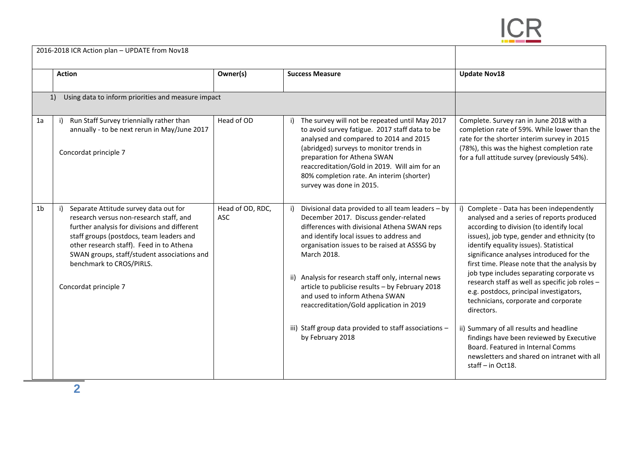

|                | 2016-2018 ICR Action plan - UPDATE from Nov18                                                                                                                                                                                                                                                                                |                                |                                                                                                                                                                                                                                                                                                                                                                                                                                                                                                                             |                                                                                                                                                                                                                                                                                                                                                                                                                                                                                                                                                                                                                                                                                                                         |
|----------------|------------------------------------------------------------------------------------------------------------------------------------------------------------------------------------------------------------------------------------------------------------------------------------------------------------------------------|--------------------------------|-----------------------------------------------------------------------------------------------------------------------------------------------------------------------------------------------------------------------------------------------------------------------------------------------------------------------------------------------------------------------------------------------------------------------------------------------------------------------------------------------------------------------------|-------------------------------------------------------------------------------------------------------------------------------------------------------------------------------------------------------------------------------------------------------------------------------------------------------------------------------------------------------------------------------------------------------------------------------------------------------------------------------------------------------------------------------------------------------------------------------------------------------------------------------------------------------------------------------------------------------------------------|
|                | <b>Action</b>                                                                                                                                                                                                                                                                                                                | Owner(s)                       | <b>Success Measure</b>                                                                                                                                                                                                                                                                                                                                                                                                                                                                                                      | <b>Update Nov18</b>                                                                                                                                                                                                                                                                                                                                                                                                                                                                                                                                                                                                                                                                                                     |
|                | Using data to inform priorities and measure impact<br>1)                                                                                                                                                                                                                                                                     |                                |                                                                                                                                                                                                                                                                                                                                                                                                                                                                                                                             |                                                                                                                                                                                                                                                                                                                                                                                                                                                                                                                                                                                                                                                                                                                         |
| 1a             | Run Staff Survey triennially rather than<br>annually - to be next rerun in May/June 2017<br>Concordat principle 7                                                                                                                                                                                                            | Head of OD                     | The survey will not be repeated until May 2017<br>to avoid survey fatigue. 2017 staff data to be<br>analysed and compared to 2014 and 2015<br>(abridged) surveys to monitor trends in<br>preparation for Athena SWAN<br>reaccreditation/Gold in 2019. Will aim for an<br>80% completion rate. An interim (shorter)<br>survey was done in 2015.                                                                                                                                                                              | Complete. Survey ran in June 2018 with a<br>completion rate of 59%. While lower than the<br>rate for the shorter interim survey in 2015<br>(78%), this was the highest completion rate<br>for a full attitude survey (previously 54%).                                                                                                                                                                                                                                                                                                                                                                                                                                                                                  |
| 1 <sub>b</sub> | Separate Attitude survey data out for<br>research versus non-research staff, and<br>further analysis for divisions and different<br>staff groups (postdocs, team leaders and<br>other research staff). Feed in to Athena<br>SWAN groups, staff/student associations and<br>benchmark to CROS/PIRLS.<br>Concordat principle 7 | Head of OD, RDC,<br><b>ASC</b> | Divisional data provided to all team leaders - by<br>December 2017. Discuss gender-related<br>differences with divisional Athena SWAN reps<br>and identify local issues to address and<br>organisation issues to be raised at ASSSG by<br>March 2018.<br>ii) Analysis for research staff only, internal news<br>article to publicise results - by February 2018<br>and used to inform Athena SWAN<br>reaccreditation/Gold application in 2019<br>iii) Staff group data provided to staff associations -<br>by February 2018 | i) Complete - Data has been independently<br>analysed and a series of reports produced<br>according to division (to identify local<br>issues), job type, gender and ethnicity (to<br>identify equality issues). Statistical<br>significance analyses introduced for the<br>first time. Please note that the analysis by<br>job type includes separating corporate vs<br>research staff as well as specific job roles -<br>e.g. postdocs, principal investigators,<br>technicians, corporate and corporate<br>directors.<br>ii) Summary of all results and headline<br>findings have been reviewed by Executive<br>Board. Featured in Internal Comms<br>newsletters and shared on intranet with all<br>staff - in Oct18. |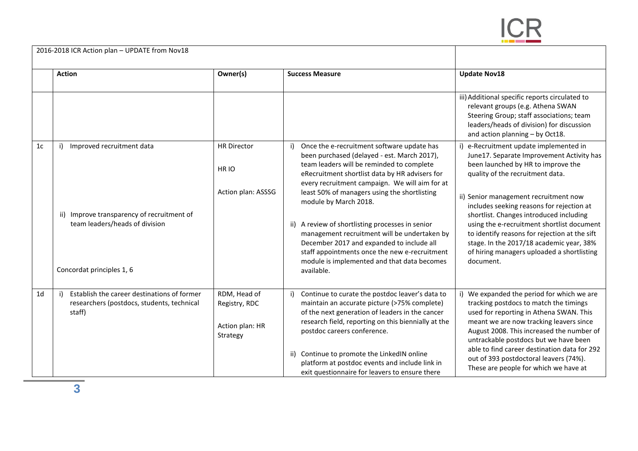

|                | 2016-2018 ICR Action plan - UPDATE from Nov18                                                       |                                                              |                                                                                                                                                                                                                                            |                                                                                                                                                                                                                                                               |
|----------------|-----------------------------------------------------------------------------------------------------|--------------------------------------------------------------|--------------------------------------------------------------------------------------------------------------------------------------------------------------------------------------------------------------------------------------------|---------------------------------------------------------------------------------------------------------------------------------------------------------------------------------------------------------------------------------------------------------------|
|                | <b>Action</b>                                                                                       | Owner(s)                                                     | <b>Success Measure</b>                                                                                                                                                                                                                     | <b>Update Nov18</b>                                                                                                                                                                                                                                           |
|                |                                                                                                     |                                                              |                                                                                                                                                                                                                                            | iii) Additional specific reports circulated to<br>relevant groups (e.g. Athena SWAN<br>Steering Group; staff associations; team<br>leaders/heads of division) for discussion<br>and action planning - by Oct18.                                               |
| 1 <sub>c</sub> | Improved recruitment data                                                                           | <b>HR Director</b><br>HR <sub>IO</sub>                       | Once the e-recruitment software update has<br>been purchased (delayed - est. March 2017),<br>team leaders will be reminded to complete<br>eRecruitment shortlist data by HR advisers for<br>every recruitment campaign. We will aim for at | i) e-Recruitment update implemented in<br>June17. Separate Improvement Activity has<br>been launched by HR to improve the<br>quality of the recruitment data.                                                                                                 |
|                | ii) Improve transparency of recruitment of                                                          | Action plan: ASSSG                                           | least 50% of managers using the shortlisting<br>module by March 2018.                                                                                                                                                                      | ii) Senior management recruitment now<br>includes seeking reasons for rejection at<br>shortlist. Changes introduced including                                                                                                                                 |
|                | team leaders/heads of division                                                                      |                                                              | ii) A review of shortlisting processes in senior<br>management recruitment will be undertaken by<br>December 2017 and expanded to include all<br>staff appointments once the new e-recruitment                                             | using the e-recruitment shortlist document<br>to identify reasons for rejection at the sift<br>stage. In the 2017/18 academic year, 38%<br>of hiring managers uploaded a shortlisting                                                                         |
|                | Concordat principles 1, 6                                                                           |                                                              | module is implemented and that data becomes<br>available.                                                                                                                                                                                  | document.                                                                                                                                                                                                                                                     |
| 1 <sub>d</sub> | Establish the career destinations of former<br>researchers (postdocs, students, technical<br>staff) | RDM, Head of<br>Registry, RDC<br>Action plan: HR<br>Strategy | Continue to curate the postdoc leaver's data to<br>maintain an accurate picture (>75% complete)<br>of the next generation of leaders in the cancer<br>research field, reporting on this biennially at the<br>postdoc careers conference.   | We expanded the period for which we are<br>tracking postdocs to match the timings<br>used for reporting in Athena SWAN. This<br>meant we are now tracking leavers since<br>August 2008. This increased the number of<br>untrackable postdocs but we have been |
|                |                                                                                                     |                                                              | ii) Continue to promote the LinkedIN online<br>platform at postdoc events and include link in<br>exit questionnaire for leavers to ensure there                                                                                            | able to find career destination data for 292<br>out of 393 postdoctoral leavers (74%).<br>These are people for which we have at                                                                                                                               |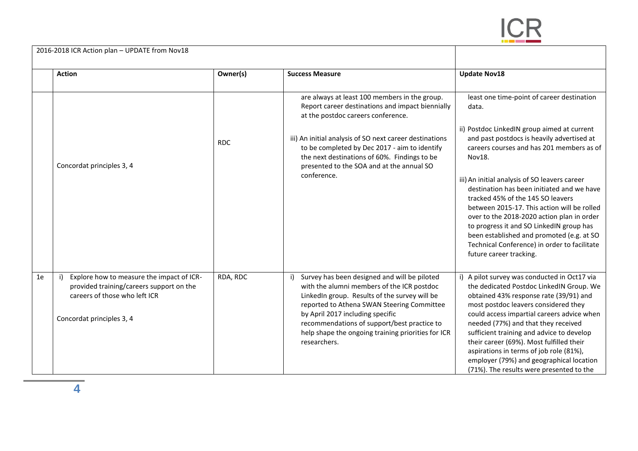

| 2016-2018 ICR Action plan - UPDATE from Nov18 |                                                                                                                                                           |            |                                                                                                                                                                                                                                                                                                                                                                 |                                                                                                                                                                                                                                                                                                                                                                                                                                                                                                                                                                                                              |
|-----------------------------------------------|-----------------------------------------------------------------------------------------------------------------------------------------------------------|------------|-----------------------------------------------------------------------------------------------------------------------------------------------------------------------------------------------------------------------------------------------------------------------------------------------------------------------------------------------------------------|--------------------------------------------------------------------------------------------------------------------------------------------------------------------------------------------------------------------------------------------------------------------------------------------------------------------------------------------------------------------------------------------------------------------------------------------------------------------------------------------------------------------------------------------------------------------------------------------------------------|
|                                               | <b>Action</b>                                                                                                                                             | Owner(s)   | <b>Success Measure</b>                                                                                                                                                                                                                                                                                                                                          | <b>Update Nov18</b>                                                                                                                                                                                                                                                                                                                                                                                                                                                                                                                                                                                          |
|                                               | Concordat principles 3, 4                                                                                                                                 | <b>RDC</b> | are always at least 100 members in the group.<br>Report career destinations and impact biennially<br>at the postdoc careers conference.<br>iii) An initial analysis of SO next career destinations<br>to be completed by Dec 2017 - aim to identify<br>the next destinations of 60%. Findings to be<br>presented to the SOA and at the annual SO<br>conference. | least one time-point of career destination<br>data.<br>ii) Postdoc LinkedIN group aimed at current<br>and past postdocs is heavily advertised at<br>careers courses and has 201 members as of<br>Nov18.<br>iii) An initial analysis of SO leavers career<br>destination has been initiated and we have<br>tracked 45% of the 145 SO leavers<br>between 2015-17. This action will be rolled<br>over to the 2018-2020 action plan in order<br>to progress it and SO LinkedIN group has<br>been established and promoted (e.g. at SO<br>Technical Conference) in order to facilitate<br>future career tracking. |
| 1e                                            | Explore how to measure the impact of ICR-<br>i)<br>provided training/careers support on the<br>careers of those who left ICR<br>Concordat principles 3, 4 | RDA, RDC   | Survey has been designed and will be piloted<br>i)<br>with the alumni members of the ICR postdoc<br>LinkedIn group. Results of the survey will be<br>reported to Athena SWAN Steering Committee<br>by April 2017 including specific<br>recommendations of support/best practice to<br>help shape the ongoing training priorities for ICR<br>researchers.        | i) A pilot survey was conducted in Oct17 via<br>the dedicated Postdoc LinkedIN Group. We<br>obtained 43% response rate (39/91) and<br>most postdoc leavers considered they<br>could access impartial careers advice when<br>needed (77%) and that they received<br>sufficient training and advice to develop<br>their career (69%). Most fulfilled their<br>aspirations in terms of job role (81%),<br>employer (79%) and geographical location<br>(71%). The results were presented to the                                                                                                                  |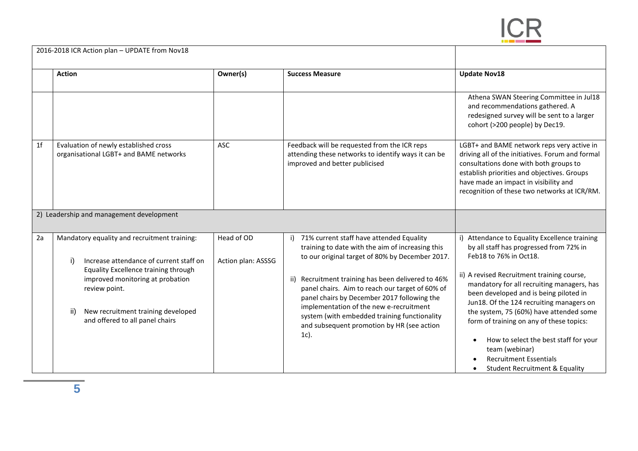

|                | 2016-2018 ICR Action plan - UPDATE from Nov18                                                                                                                                                                                                                              |                                  |                                                                                                                                                                                                                                                                                                                                                                                                                                                                   |                                                                                                                                                                                                                                                                                                                                                                                                                                                                                                                              |
|----------------|----------------------------------------------------------------------------------------------------------------------------------------------------------------------------------------------------------------------------------------------------------------------------|----------------------------------|-------------------------------------------------------------------------------------------------------------------------------------------------------------------------------------------------------------------------------------------------------------------------------------------------------------------------------------------------------------------------------------------------------------------------------------------------------------------|------------------------------------------------------------------------------------------------------------------------------------------------------------------------------------------------------------------------------------------------------------------------------------------------------------------------------------------------------------------------------------------------------------------------------------------------------------------------------------------------------------------------------|
|                | <b>Action</b>                                                                                                                                                                                                                                                              | Owner(s)                         | <b>Success Measure</b>                                                                                                                                                                                                                                                                                                                                                                                                                                            | <b>Update Nov18</b>                                                                                                                                                                                                                                                                                                                                                                                                                                                                                                          |
|                |                                                                                                                                                                                                                                                                            |                                  |                                                                                                                                                                                                                                                                                                                                                                                                                                                                   | Athena SWAN Steering Committee in Jul18<br>and recommendations gathered. A<br>redesigned survey will be sent to a larger<br>cohort (>200 people) by Dec19.                                                                                                                                                                                                                                                                                                                                                                   |
| 1 <sub>f</sub> | Evaluation of newly established cross<br>organisational LGBT+ and BAME networks                                                                                                                                                                                            | <b>ASC</b>                       | Feedback will be requested from the ICR reps<br>attending these networks to identify ways it can be<br>improved and better publicised                                                                                                                                                                                                                                                                                                                             | LGBT+ and BAME network reps very active in<br>driving all of the initiatives. Forum and formal<br>consultations done with both groups to<br>establish priorities and objectives. Groups<br>have made an impact in visibility and<br>recognition of these two networks at ICR/RM.                                                                                                                                                                                                                                             |
|                | 2) Leadership and management development                                                                                                                                                                                                                                   |                                  |                                                                                                                                                                                                                                                                                                                                                                                                                                                                   |                                                                                                                                                                                                                                                                                                                                                                                                                                                                                                                              |
| 2a             | Mandatory equality and recruitment training:<br>Increase attendance of current staff on<br>i)<br>Equality Excellence training through<br>improved monitoring at probation<br>review point.<br>New recruitment training developed<br>ii)<br>and offered to all panel chairs | Head of OD<br>Action plan: ASSSG | 71% current staff have attended Equality<br>i)<br>training to date with the aim of increasing this<br>to our original target of 80% by December 2017.<br>ii) Recruitment training has been delivered to 46%<br>panel chairs. Aim to reach our target of 60% of<br>panel chairs by December 2017 following the<br>implementation of the new e-recruitment<br>system (with embedded training functionality<br>and subsequent promotion by HR (see action<br>$1c$ ). | Attendance to Equality Excellence training<br>i)<br>by all staff has progressed from 72% in<br>Feb18 to 76% in Oct18.<br>ii) A revised Recruitment training course,<br>mandatory for all recruiting managers, has<br>been developed and is being piloted in<br>Jun18. Of the 124 recruiting managers on<br>the system, 75 (60%) have attended some<br>form of training on any of these topics:<br>How to select the best staff for your<br>team (webinar)<br><b>Recruitment Essentials</b><br>Student Recruitment & Equality |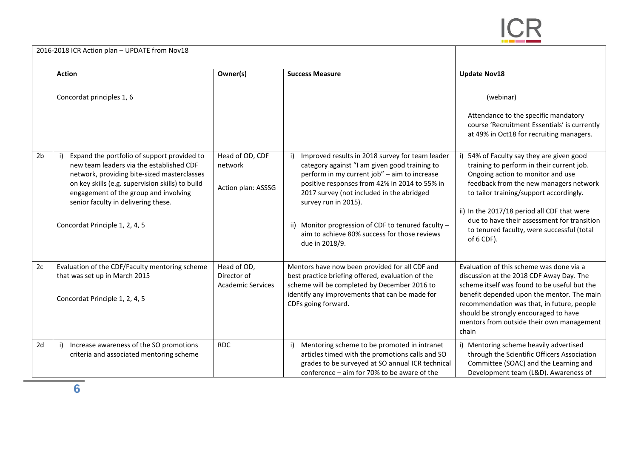

|                | 2016-2018 ICR Action plan - UPDATE from Nov18                                                                                                                                                                                                                                                                |                                                        |                                                                                                                                                                                                                                                                                                                                                                                                 |                                                                                                                                                                                                                                                                                                                                                                         |
|----------------|--------------------------------------------------------------------------------------------------------------------------------------------------------------------------------------------------------------------------------------------------------------------------------------------------------------|--------------------------------------------------------|-------------------------------------------------------------------------------------------------------------------------------------------------------------------------------------------------------------------------------------------------------------------------------------------------------------------------------------------------------------------------------------------------|-------------------------------------------------------------------------------------------------------------------------------------------------------------------------------------------------------------------------------------------------------------------------------------------------------------------------------------------------------------------------|
|                | <b>Action</b>                                                                                                                                                                                                                                                                                                | Owner(s)                                               | <b>Success Measure</b>                                                                                                                                                                                                                                                                                                                                                                          | <b>Update Nov18</b>                                                                                                                                                                                                                                                                                                                                                     |
|                | Concordat principles 1, 6                                                                                                                                                                                                                                                                                    |                                                        |                                                                                                                                                                                                                                                                                                                                                                                                 | (webinar)<br>Attendance to the specific mandatory<br>course 'Recruitment Essentials' is currently<br>at 49% in Oct18 for recruiting managers.                                                                                                                                                                                                                           |
| 2 <sub>b</sub> | Expand the portfolio of support provided to<br>new team leaders via the established CDF<br>network, providing bite-sized masterclasses<br>on key skills (e.g. supervision skills) to build<br>engagement of the group and involving<br>senior faculty in delivering these.<br>Concordat Principle 1, 2, 4, 5 | Head of OD, CDF<br>network<br>Action plan: ASSSG       | Improved results in 2018 survey for team leader<br>category against "I am given good training to<br>perform in my current job" - aim to increase<br>positive responses from 42% in 2014 to 55% in<br>2017 survey (not included in the abridged<br>survey run in 2015).<br>ii) Monitor progression of CDF to tenured faculty -<br>aim to achieve 80% success for those reviews<br>due in 2018/9. | 54% of Faculty say they are given good<br>training to perform in their current job.<br>Ongoing action to monitor and use<br>feedback from the new managers network<br>to tailor training/support accordingly.<br>ii) In the 2017/18 period all CDF that were<br>due to have their assessment for transition<br>to tenured faculty, were successful (total<br>of 6 CDF). |
| 2c             | Evaluation of the CDF/Faculty mentoring scheme<br>that was set up in March 2015<br>Concordat Principle 1, 2, 4, 5                                                                                                                                                                                            | Head of OD,<br>Director of<br><b>Academic Services</b> | Mentors have now been provided for all CDF and<br>best practice briefing offered, evaluation of the<br>scheme will be completed by December 2016 to<br>identify any improvements that can be made for<br>CDFs going forward.                                                                                                                                                                    | Evaluation of this scheme was done via a<br>discussion at the 2018 CDF Away Day. The<br>scheme itself was found to be useful but the<br>benefit depended upon the mentor. The main<br>recommendation was that, in future, people<br>should be strongly encouraged to have<br>mentors from outside their own management<br>chain                                         |
| 2d             | Increase awareness of the SO promotions<br>i)<br>criteria and associated mentoring scheme                                                                                                                                                                                                                    | <b>RDC</b>                                             | Mentoring scheme to be promoted in intranet<br>articles timed with the promotions calls and SO<br>grades to be surveyed at SO annual ICR technical<br>conference - aim for 70% to be aware of the                                                                                                                                                                                               | i) Mentoring scheme heavily advertised<br>through the Scientific Officers Association<br>Committee (SOAC) and the Learning and<br>Development team (L&D). Awareness of                                                                                                                                                                                                  |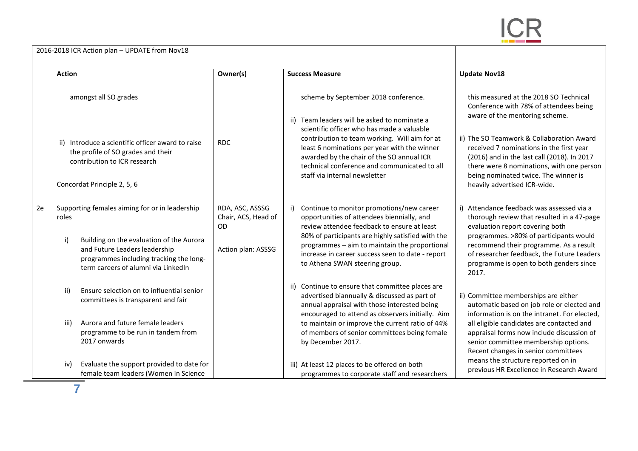

|    | 2016-2018 ICR Action plan - UPDATE from Nov18                                                                                                                                                                                |                                                                           |                                                                                                                                                                                                                                                                                                                                                                   |                                                                                                                                                                                                                                                                                                                                                                                 |
|----|------------------------------------------------------------------------------------------------------------------------------------------------------------------------------------------------------------------------------|---------------------------------------------------------------------------|-------------------------------------------------------------------------------------------------------------------------------------------------------------------------------------------------------------------------------------------------------------------------------------------------------------------------------------------------------------------|---------------------------------------------------------------------------------------------------------------------------------------------------------------------------------------------------------------------------------------------------------------------------------------------------------------------------------------------------------------------------------|
|    | <b>Action</b>                                                                                                                                                                                                                | Owner(s)                                                                  | <b>Success Measure</b>                                                                                                                                                                                                                                                                                                                                            | <b>Update Nov18</b>                                                                                                                                                                                                                                                                                                                                                             |
|    | amongst all SO grades<br>ii) Introduce a scientific officer award to raise<br>the profile of SO grades and their<br>contribution to ICR research<br>Concordat Principle 2, 5, 6                                              | <b>RDC</b>                                                                | scheme by September 2018 conference.<br>ii) Team leaders will be asked to nominate a<br>scientific officer who has made a valuable<br>contribution to team working. Will aim for at<br>least 6 nominations per year with the winner<br>awarded by the chair of the SO annual ICR<br>technical conference and communicated to all<br>staff via internal newsletter | this measured at the 2018 SO Technical<br>Conference with 78% of attendees being<br>aware of the mentoring scheme.<br>ii) The SO Teamwork & Collaboration Award<br>received 7 nominations in the first year<br>(2016) and in the last call (2018). In 2017<br>there were 8 nominations, with one person<br>being nominated twice. The winner is<br>heavily advertised ICR-wide. |
| 2e | Supporting females aiming for or in leadership<br>roles<br>Building on the evaluation of the Aurora<br>i)<br>and Future Leaders leadership<br>programmes including tracking the long-<br>term careers of alumni via LinkedIn | RDA, ASC, ASSSG<br>Chair, ACS, Head of<br><b>OD</b><br>Action plan: ASSSG | Continue to monitor promotions/new career<br>i)<br>opportunities of attendees biennially, and<br>review attendee feedback to ensure at least<br>80% of participants are highly satisfied with the<br>programmes - aim to maintain the proportional<br>increase in career success seen to date - report<br>to Athena SWAN steering group.                          | i) Attendance feedback was assessed via a<br>thorough review that resulted in a 47-page<br>evaluation report covering both<br>programmes. >80% of participants would<br>recommend their programme. As a result<br>of researcher feedback, the Future Leaders<br>programme is open to both genders since<br>2017.                                                                |
|    | Ensure selection on to influential senior<br>ii)<br>committees is transparent and fair<br>Aurora and future female leaders<br>iii)<br>programme to be run in tandem from<br>2017 onwards                                     |                                                                           | ii) Continue to ensure that committee places are<br>advertised biannually & discussed as part of<br>annual appraisal with those interested being<br>encouraged to attend as observers initially. Aim<br>to maintain or improve the current ratio of 44%<br>of members of senior committees being female<br>by December 2017.                                      | ii) Committee memberships are either<br>automatic based on job role or elected and<br>information is on the intranet. For elected,<br>all eligible candidates are contacted and<br>appraisal forms now include discussion of<br>senior committee membership options.                                                                                                            |
|    | Evaluate the support provided to date for<br>iv)<br>female team leaders (Women in Science                                                                                                                                    |                                                                           | iii) At least 12 places to be offered on both<br>programmes to corporate staff and researchers                                                                                                                                                                                                                                                                    | Recent changes in senior committees<br>means the structure reported on in<br>previous HR Excellence in Research Award                                                                                                                                                                                                                                                           |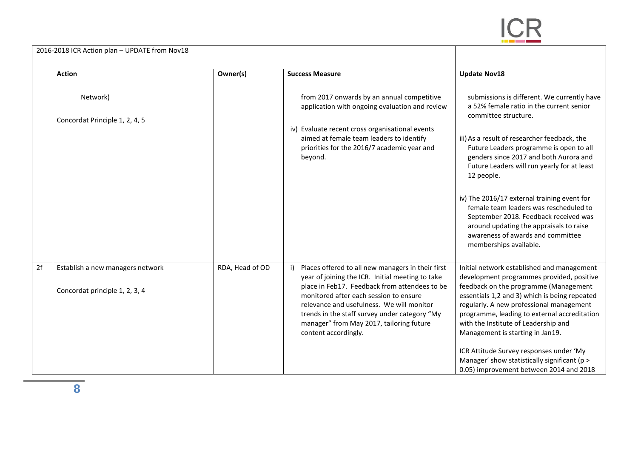

|    | 2016-2018 ICR Action plan – UPDATE from Nov18                      |                 |                                                                                                                                                                                                                                                                                                                                                                    |                                                                                                                                                                                                                                                                                                                                                                                                                                                                                                 |
|----|--------------------------------------------------------------------|-----------------|--------------------------------------------------------------------------------------------------------------------------------------------------------------------------------------------------------------------------------------------------------------------------------------------------------------------------------------------------------------------|-------------------------------------------------------------------------------------------------------------------------------------------------------------------------------------------------------------------------------------------------------------------------------------------------------------------------------------------------------------------------------------------------------------------------------------------------------------------------------------------------|
|    | <b>Action</b>                                                      | Owner(s)        | <b>Success Measure</b>                                                                                                                                                                                                                                                                                                                                             | <b>Update Nov18</b>                                                                                                                                                                                                                                                                                                                                                                                                                                                                             |
|    | Network)<br>Concordat Principle 1, 2, 4, 5                         |                 | from 2017 onwards by an annual competitive<br>application with ongoing evaluation and review                                                                                                                                                                                                                                                                       | submissions is different. We currently have<br>a 52% female ratio in the current senior<br>committee structure.                                                                                                                                                                                                                                                                                                                                                                                 |
|    |                                                                    |                 | iv) Evaluate recent cross organisational events<br>aimed at female team leaders to identify<br>priorities for the 2016/7 academic year and<br>beyond.                                                                                                                                                                                                              | iii) As a result of researcher feedback, the<br>Future Leaders programme is open to all<br>genders since 2017 and both Aurora and<br>Future Leaders will run yearly for at least<br>12 people.<br>iv) The 2016/17 external training event for<br>female team leaders was rescheduled to<br>September 2018. Feedback received was<br>around updating the appraisals to raise<br>awareness of awards and committee<br>memberships available.                                                      |
| 2f | Establish a new managers network<br>Concordat principle 1, 2, 3, 4 | RDA, Head of OD | Places offered to all new managers in their first<br>year of joining the ICR. Initial meeting to take<br>place in Feb17. Feedback from attendees to be<br>monitored after each session to ensure<br>relevance and usefulness. We will monitor<br>trends in the staff survey under category "My<br>manager" from May 2017, tailoring future<br>content accordingly. | Initial network established and management<br>development programmes provided, positive<br>feedback on the programme (Management<br>essentials 1,2 and 3) which is being repeated<br>regularly. A new professional management<br>programme, leading to external accreditation<br>with the Institute of Leadership and<br>Management is starting in Jan19.<br>ICR Attitude Survey responses under 'My<br>Manager' show statistically significant (p ><br>0.05) improvement between 2014 and 2018 |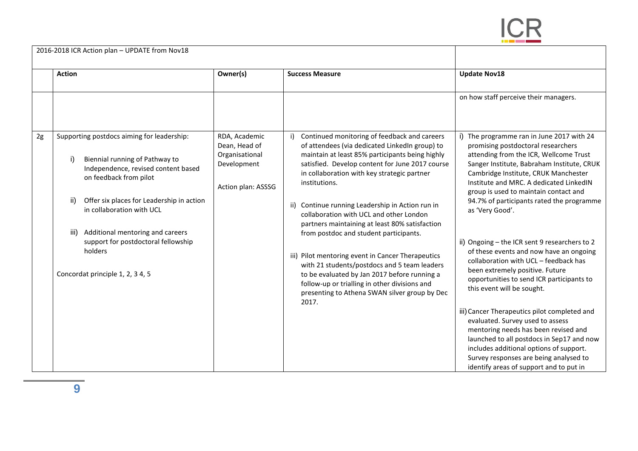

|    | 2016-2018 ICR Action plan - UPDATE from Nov18                                                                                                                                                                                                                                                                                                                          |                                                                                       |                                                                                                                                                                                                                                                                                                                                                                                                                                                                                                                                                                                                                                                                                                                                 |                                                                                                                                                                                                                                                                                                                                                                                                                                                                                                                                                                                                                                                                                                                                                                                              |
|----|------------------------------------------------------------------------------------------------------------------------------------------------------------------------------------------------------------------------------------------------------------------------------------------------------------------------------------------------------------------------|---------------------------------------------------------------------------------------|---------------------------------------------------------------------------------------------------------------------------------------------------------------------------------------------------------------------------------------------------------------------------------------------------------------------------------------------------------------------------------------------------------------------------------------------------------------------------------------------------------------------------------------------------------------------------------------------------------------------------------------------------------------------------------------------------------------------------------|----------------------------------------------------------------------------------------------------------------------------------------------------------------------------------------------------------------------------------------------------------------------------------------------------------------------------------------------------------------------------------------------------------------------------------------------------------------------------------------------------------------------------------------------------------------------------------------------------------------------------------------------------------------------------------------------------------------------------------------------------------------------------------------------|
|    | <b>Action</b>                                                                                                                                                                                                                                                                                                                                                          | Owner(s)                                                                              | <b>Success Measure</b>                                                                                                                                                                                                                                                                                                                                                                                                                                                                                                                                                                                                                                                                                                          | <b>Update Nov18</b>                                                                                                                                                                                                                                                                                                                                                                                                                                                                                                                                                                                                                                                                                                                                                                          |
|    |                                                                                                                                                                                                                                                                                                                                                                        |                                                                                       |                                                                                                                                                                                                                                                                                                                                                                                                                                                                                                                                                                                                                                                                                                                                 | on how staff perceive their managers.                                                                                                                                                                                                                                                                                                                                                                                                                                                                                                                                                                                                                                                                                                                                                        |
| 2g | Supporting postdocs aiming for leadership:<br>Biennial running of Pathway to<br>i)<br>Independence, revised content based<br>on feedback from pilot<br>Offer six places for Leadership in action<br>ii)<br>in collaboration with UCL<br>Additional mentoring and careers<br>iii)<br>support for postdoctoral fellowship<br>holders<br>Concordat principle 1, 2, 3 4, 5 | RDA, Academic<br>Dean, Head of<br>Organisational<br>Development<br>Action plan: ASSSG | Continued monitoring of feedback and careers<br>of attendees (via dedicated LinkedIn group) to<br>maintain at least 85% participants being highly<br>satisfied. Develop content for June 2017 course<br>in collaboration with key strategic partner<br>institutions.<br>ii) Continue running Leadership in Action run in<br>collaboration with UCL and other London<br>partners maintaining at least 80% satisfaction<br>from postdoc and student participants.<br>iii) Pilot mentoring event in Cancer Therapeutics<br>with 21 students/postdocs and 5 team leaders<br>to be evaluated by Jan 2017 before running a<br>follow-up or trialling in other divisions and<br>presenting to Athena SWAN silver group by Dec<br>2017. | The programme ran in June 2017 with 24<br>promising postdoctoral researchers<br>attending from the ICR, Wellcome Trust<br>Sanger Institute, Babraham Institute, CRUK<br>Cambridge Institute, CRUK Manchester<br>Institute and MRC. A dedicated LinkedIN<br>group is used to maintain contact and<br>94.7% of participants rated the programme<br>as 'Very Good'.<br>ii) Ongoing - the ICR sent 9 researchers to 2<br>of these events and now have an ongoing<br>collaboration with UCL - feedback has<br>been extremely positive. Future<br>opportunities to send ICR participants to<br>this event will be sought.<br>iii) Cancer Therapeutics pilot completed and<br>evaluated. Survey used to assess<br>mentoring needs has been revised and<br>launched to all postdocs in Sep17 and now |
|    |                                                                                                                                                                                                                                                                                                                                                                        |                                                                                       |                                                                                                                                                                                                                                                                                                                                                                                                                                                                                                                                                                                                                                                                                                                                 | includes additional options of support.<br>Survey responses are being analysed to<br>identify areas of support and to put in                                                                                                                                                                                                                                                                                                                                                                                                                                                                                                                                                                                                                                                                 |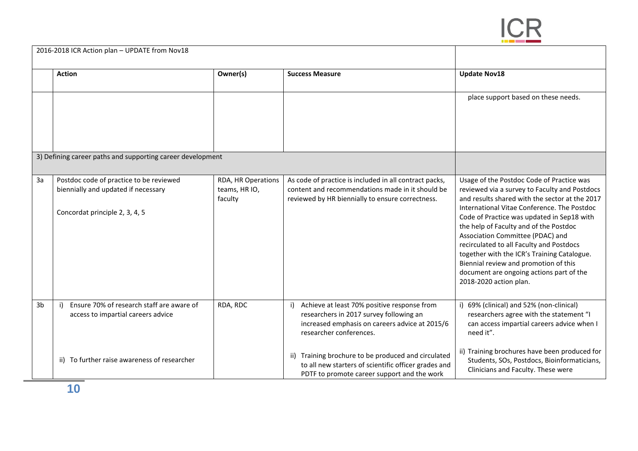

|                | 2016-2018 ICR Action plan - UPDATE from Nov18                                                                    |                                                |                                                                                                                                                                     |                                                                                                                                                                                                                                                                                                                                                                                                                                                                                                                                   |
|----------------|------------------------------------------------------------------------------------------------------------------|------------------------------------------------|---------------------------------------------------------------------------------------------------------------------------------------------------------------------|-----------------------------------------------------------------------------------------------------------------------------------------------------------------------------------------------------------------------------------------------------------------------------------------------------------------------------------------------------------------------------------------------------------------------------------------------------------------------------------------------------------------------------------|
|                | <b>Action</b>                                                                                                    | Owner(s)                                       | <b>Success Measure</b>                                                                                                                                              | <b>Update Nov18</b>                                                                                                                                                                                                                                                                                                                                                                                                                                                                                                               |
|                |                                                                                                                  |                                                |                                                                                                                                                                     | place support based on these needs.                                                                                                                                                                                                                                                                                                                                                                                                                                                                                               |
|                | 3) Defining career paths and supporting career development                                                       |                                                |                                                                                                                                                                     |                                                                                                                                                                                                                                                                                                                                                                                                                                                                                                                                   |
| 3a             | Postdoc code of practice to be reviewed<br>biennially and updated if necessary<br>Concordat principle 2, 3, 4, 5 | RDA, HR Operations<br>teams, HR IO,<br>faculty | As code of practice is included in all contract packs,<br>content and recommendations made in it should be<br>reviewed by HR biennially to ensure correctness.      | Usage of the Postdoc Code of Practice was<br>reviewed via a survey to Faculty and Postdocs<br>and results shared with the sector at the 2017<br>International Vitae Conference. The Postdoc<br>Code of Practice was updated in Sep18 with<br>the help of Faculty and of the Postdoc<br>Association Committee (PDAC) and<br>recirculated to all Faculty and Postdocs<br>together with the ICR's Training Catalogue.<br>Biennial review and promotion of this<br>document are ongoing actions part of the<br>2018-2020 action plan. |
| 3 <sub>b</sub> | Ensure 70% of research staff are aware of<br>i)<br>access to impartial careers advice                            | RDA, RDC                                       | Achieve at least 70% positive response from<br>researchers in 2017 survey following an<br>increased emphasis on careers advice at 2015/6<br>researcher conferences. | 69% (clinical) and 52% (non-clinical)<br>researchers agree with the statement "I<br>can access impartial careers advice when I<br>need it".                                                                                                                                                                                                                                                                                                                                                                                       |
|                | ii) To further raise awareness of researcher                                                                     |                                                | ii) Training brochure to be produced and circulated<br>to all new starters of scientific officer grades and<br>PDTF to promote career support and the work          | ii) Training brochures have been produced for<br>Students, SOs, Postdocs, Bioinformaticians,<br>Clinicians and Faculty. These were                                                                                                                                                                                                                                                                                                                                                                                                |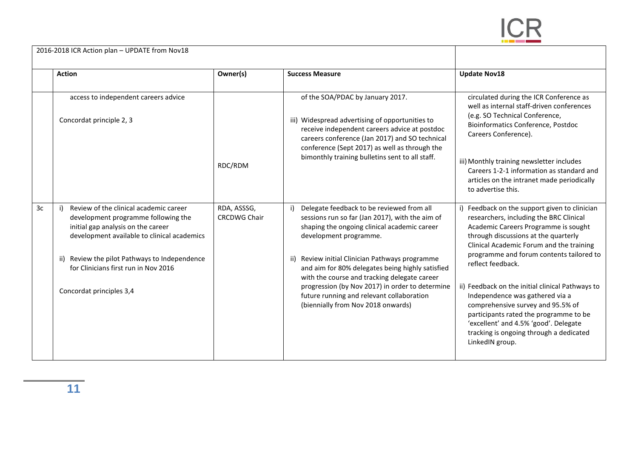

| <b>Action</b>                                                                                                                                                            | Owner(s)                           | <b>Success Measure</b>                                                                                                                                                                                                                  | <b>Update Nov18</b>                                                                                                                                                                                                                                                                                                                                       |
|--------------------------------------------------------------------------------------------------------------------------------------------------------------------------|------------------------------------|-----------------------------------------------------------------------------------------------------------------------------------------------------------------------------------------------------------------------------------------|-----------------------------------------------------------------------------------------------------------------------------------------------------------------------------------------------------------------------------------------------------------------------------------------------------------------------------------------------------------|
| access to independent careers advice<br>Concordat principle 2, 3                                                                                                         |                                    | of the SOA/PDAC by January 2017.<br>iii) Widespread advertising of opportunities to<br>receive independent careers advice at postdoc<br>careers conference (Jan 2017) and SO technical<br>conference (Sept 2017) as well as through the | circulated during the ICR Conference as<br>well as internal staff-driven conferences<br>(e.g. SO Technical Conference,<br><b>Bioinformatics Conference, Postdoc</b><br>Careers Conference).<br>iii) Monthly training newsletter includes<br>Careers 1-2-1 information as standard and<br>articles on the intranet made periodically<br>to advertise this. |
|                                                                                                                                                                          | RDC/RDM                            | bimonthly training bulletins sent to all staff.                                                                                                                                                                                         |                                                                                                                                                                                                                                                                                                                                                           |
| Review of the clinical academic career<br>3c<br>development programme following the<br>initial gap analysis on the career<br>development available to clinical academics | RDA, ASSSG,<br><b>CRCDWG Chair</b> | i) Delegate feedback to be reviewed from all<br>sessions run so far (Jan 2017), with the aim of<br>shaping the ongoing clinical academic career<br>development programme.                                                               | i) Feedback on the support given to clinician<br>researchers, including the BRC Clinical<br>Academic Careers Programme is sought<br>through discussions at the quarterly<br>Clinical Academic Forum and the training<br>programme and forum contents tailored to<br>reflect feedback.                                                                     |
| ii) Review the pilot Pathways to Independence<br>for Clinicians first run in Nov 2016                                                                                    |                                    | ii) Review initial Clinician Pathways programme<br>and aim for 80% delegates being highly satisfied<br>with the course and tracking delegate career                                                                                     |                                                                                                                                                                                                                                                                                                                                                           |
| Concordat principles 3,4                                                                                                                                                 |                                    | progression (by Nov 2017) in order to determine<br>future running and relevant collaboration<br>(biennially from Nov 2018 onwards)                                                                                                      | ii) Feedback on the initial clinical Pathways to<br>Independence was gathered via a<br>comprehensive survey and 95.5% of<br>participants rated the programme to be<br>'excellent' and 4.5% 'good'. Delegate<br>tracking is ongoing through a dedicated<br>LinkedIN group.                                                                                 |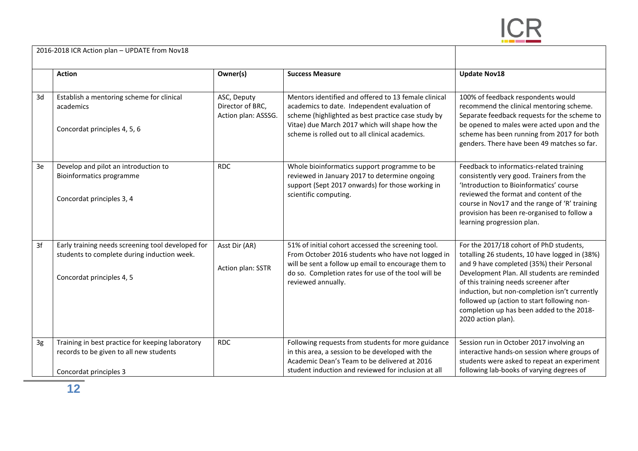

|    | 2016-2018 ICR Action plan - UPDATE from Nov18                                                                                 |                                                        |                                                                                                                                                                                                                                                                 |                                                                                                                                                                                                                                                                                                                                                                                                   |
|----|-------------------------------------------------------------------------------------------------------------------------------|--------------------------------------------------------|-----------------------------------------------------------------------------------------------------------------------------------------------------------------------------------------------------------------------------------------------------------------|---------------------------------------------------------------------------------------------------------------------------------------------------------------------------------------------------------------------------------------------------------------------------------------------------------------------------------------------------------------------------------------------------|
|    | <b>Action</b>                                                                                                                 | Owner(s)                                               | <b>Success Measure</b>                                                                                                                                                                                                                                          | <b>Update Nov18</b>                                                                                                                                                                                                                                                                                                                                                                               |
| 3d | Establish a mentoring scheme for clinical<br>academics<br>Concordat principles 4, 5, 6                                        | ASC, Deputy<br>Director of BRC,<br>Action plan: ASSSG. | Mentors identified and offered to 13 female clinical<br>academics to date. Independent evaluation of<br>scheme (highlighted as best practice case study by<br>Vitae) due March 2017 which will shape how the<br>scheme is rolled out to all clinical academics. | 100% of feedback respondents would<br>recommend the clinical mentoring scheme.<br>Separate feedback requests for the scheme to<br>be opened to males were acted upon and the<br>scheme has been running from 2017 for both<br>genders. There have been 49 matches so far.                                                                                                                         |
| 3e | Develop and pilot an introduction to<br>Bioinformatics programme<br>Concordat principles 3, 4                                 | <b>RDC</b>                                             | Whole bioinformatics support programme to be<br>reviewed in January 2017 to determine ongoing<br>support (Sept 2017 onwards) for those working in<br>scientific computing.                                                                                      | Feedback to informatics-related training<br>consistently very good. Trainers from the<br>'Introduction to Bioinformatics' course<br>reviewed the format and content of the<br>course in Nov17 and the range of 'R' training<br>provision has been re-organised to follow a<br>learning progression plan.                                                                                          |
| 3f | Early training needs screening tool developed for<br>students to complete during induction week.<br>Concordat principles 4, 5 | Asst Dir (AR)<br>Action plan: SSTR                     | 51% of initial cohort accessed the screening tool.<br>From October 2016 students who have not logged in<br>will be sent a follow up email to encourage them to<br>do so. Completion rates for use of the tool will be<br>reviewed annually.                     | For the 2017/18 cohort of PhD students,<br>totalling 26 students, 10 have logged in (38%)<br>and 9 have completed (35%) their Personal<br>Development Plan. All students are reminded<br>of this training needs screener after<br>induction, but non-completion isn't currently<br>followed up (action to start following non-<br>completion up has been added to the 2018-<br>2020 action plan). |
| 3g | Training in best practice for keeping laboratory<br>records to be given to all new students<br>Concordat principles 3         | <b>RDC</b>                                             | Following requests from students for more guidance<br>in this area, a session to be developed with the<br>Academic Dean's Team to be delivered at 2016<br>student induction and reviewed for inclusion at all                                                   | Session run in October 2017 involving an<br>interactive hands-on session where groups of<br>students were asked to repeat an experiment<br>following lab-books of varying degrees of                                                                                                                                                                                                              |